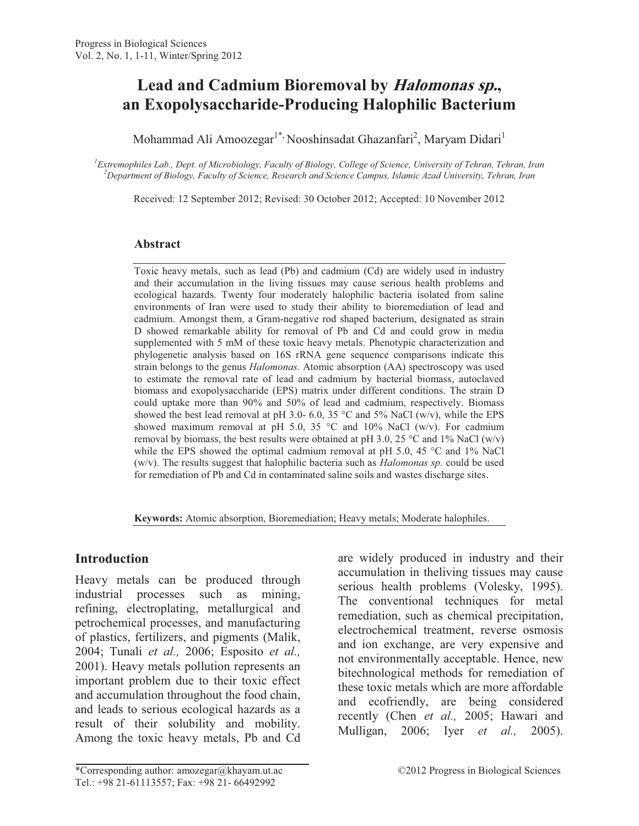# **Lead and Cadmium Bioremoval by Halomonas sp., an Exopolysaccharide-Producing Halophilic Bacterium**

Mohammad Ali Amoozegar<sup>1\*,</sup> Nooshinsadat Ghazanfari<sup>2</sup>, Maryam Didari<sup>1</sup>

*<sup>1</sup>Extremophiles Lab., Dept. of Microbiology, Faculty of Biology, College of Science, University of Tehran, Tehran, Iran <sup>2</sup>Department of Biology, Faculty of Science, Research and Science Campus, Islamic Azad University, Tehran, Iran* 

Received: 12 September 2012; Revised: 30 October 2012; Accepted: 10 November 2012

#### **Abstract**

Toxic heavy metals, such as lead (Pb) and cadmium (Cd) are widely used in industry and their accumulation in the living tissues may cause serious health problems and ecological hazards. Twenty four moderately halophilic bacteria isolated from saline environments of Iran were used to study their ability to bioremediation of lead and cadmium. Amongst them, a Gram-negative rod shaped bacterium, designated as strain D showed remarkable ability for removal of Pb and Cd and could grow in media supplemented with 5 mM of these toxic heavy metals. Phenotypic characterization and phylogenetic analysis based on 16S rRNA gene sequence comparisons indicate this strain belongs to the genus *Halomonas.* Atomic absorption (AA) spectroscopy was used to estimate the removal rate of lead and cadmium by bacterial biomass, autoclaved biomass and exopolysaccharide (EPS) matrix under different conditions. The strain D could uptake more than 90% and 50% of lead and cadmium, respectively. Biomass showed the best lead removal at pH 3.0- 6.0, 35 °C and 5% NaCl (w/v), while the EPS showed maximum removal at pH 5.0, 35 °C and 10% NaCl (w/v). For cadmium removal by biomass, the best results were obtained at pH 3.0, 25 °C and 1% NaCl (w/v) while the EPS showed the optimal cadmium removal at pH 5.0, 45  $^{\circ}$ C and 1% NaCl (w/v). The results suggest that halophilic bacteria such as *Halomonas sp.* could be used for remediation of Pb and Cd in contaminated saline soils and wastes discharge sites.

**Keywords:** Atomic absorption, Bioremediation; Heavy metals; Moderate halophiles.

#### **Introduction**

Heavy metals can be produced through industrial processes such as mining, refining, electroplating, metallurgical and petrochemical processes, and manufacturing of plastics, fertilizers, and pigments (Malik, 2004; Tunali *et al.,* 2006; Esposito *et al.,* 2001). Heavy metals pollution represents an important problem due to their toxic effect and accumulation throughout the food chain, and leads to serious ecological hazards as a result of their solubility and mobility. Among the toxic heavy metals, Pb and Cd are widely produced in industry and their accumulation in theliving tissues may cause serious health problems (Volesky, 1995). The conventional techniques for metal remediation, such as chemical precipitation, electrochemical treatment, reverse osmosis and ion exchange, are very expensive and not environmentally acceptable. Hence, new bitechnological methods for remediation of these toxic metals which are more affordable and ecofriendly, are being considered recently (Chen *et al.,* 2005; Hawari and Mulligan, 2006; Iyer *et al.,* 2005).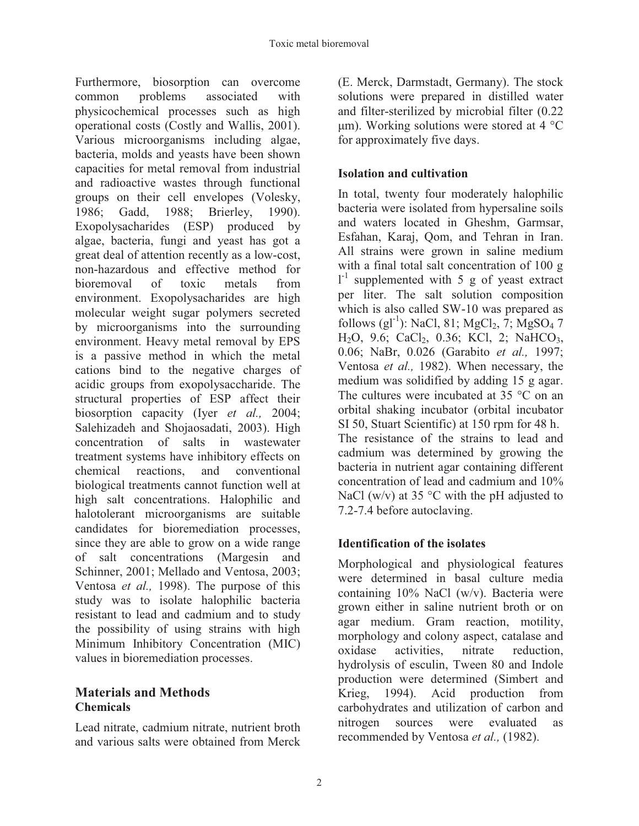Furthermore, biosorption can overcome common problems associated with physicochemical processes such as high operational costs (Costly and Wallis, 2001). Various microorganisms including algae, bacteria, molds and yeasts have been shown capacities for metal removal from industrial and radioactive wastes through functional groups on their cell envelopes (Volesky, 1986; Gadd, 1988; Brierley, 1990). Exopolysacharides (ESP) produced by algae, bacteria, fungi and yeast has got a great deal of attention recently as a low-cost, non-hazardous and effective method for bioremoval of toxic metals from environment. Exopolysacharides are high molecular weight sugar polymers secreted by microorganisms into the surrounding environment. Heavy metal removal by EPS is a passive method in which the metal cations bind to the negative charges of acidic groups from exopolysaccharide. The structural properties of ESP affect their biosorption capacity (Iyer *et al.,* 2004; Salehizadeh and Shojaosadati, 2003). High concentration of salts in wastewater treatment systems have inhibitory effects on chemical reactions, and conventional biological treatments cannot function well at high salt concentrations. Halophilic and halotolerant microorganisms are suitable candidates for bioremediation processes, since they are able to grow on a wide range of salt concentrations (Margesin and Schinner, 2001; Mellado and Ventosa, 2003; Ventosa *et al.,* 1998). The purpose of this study was to isolate halophilic bacteria resistant to lead and cadmium and to study the possibility of using strains with high Minimum Inhibitory Concentration (MIC) values in bioremediation processes.

#### **Materials and Methods Chemicals**

Lead nitrate, cadmium nitrate, nutrient broth and various salts were obtained from Merck

(E. Merck, Darmstadt, Germany). The stock solutions were prepared in distilled water and filter-sterilized by microbial filter (0.22 μm). Working solutions were stored at 4  $°C$ for approximately five days.

## **Isolation and cultivation**

In total, twenty four moderately halophilic bacteria were isolated from hypersaline soils and waters located in Gheshm, Garmsar, Esfahan, Karaj, Qom, and Tehran in Iran. All strains were grown in saline medium with a final total salt concentration of 100 g  $1<sup>-1</sup>$  supplemented with 5 g of yeast extract per liter. The salt solution composition which is also called SW-10 was prepared as follows  $\left(g1^{-1}\right)$ : NaCl, 81; MgCl<sub>2</sub>, 7; MgSO<sub>4</sub> 7 H<sub>2</sub>O, 9.6; CaCl<sub>2</sub>, 0.36; KCl, 2; NaHCO<sub>3</sub>, 0.06; NaBr, 0.026 (Garabito *et al.,* 1997; Ventosa *et al.,* 1982). When necessary, the medium was solidified by adding 15 g agar. The cultures were incubated at 35 °C on an orbital shaking incubator (orbital incubator SI 50, Stuart Scientific) at 150 rpm for 48 h. The resistance of the strains to lead and cadmium was determined by growing the bacteria in nutrient agar containing different concentration of lead and cadmium and 10% NaCl (w/v) at 35  $\degree$ C with the pH adjusted to 7.2-7.4 before autoclaving.

## **Identification of the isolates**

Morphological and physiological features were determined in basal culture media containing 10% NaCl (w/v). Bacteria were grown either in saline nutrient broth or on agar medium. Gram reaction, motility, morphology and colony aspect, catalase and oxidase activities, nitrate reduction, hydrolysis of esculin, Tween 80 and Indole production were determined (Simbert and Krieg, 1994). Acid production from carbohydrates and utilization of carbon and nitrogen sources were evaluated as recommended by Ventosa *et al.,* (1982).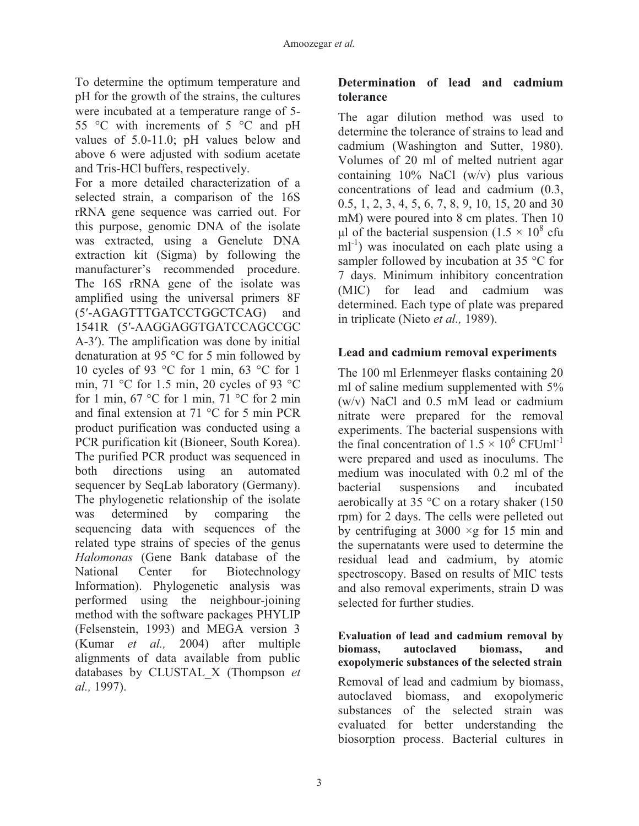To determine the optimum temperature and pH for the growth of the strains, the cultures were incubated at a temperature range of 5- 55 °C with increments of 5 °C and pH values of 5.0-11.0; pH values below and above 6 were adjusted with sodium acetate and Tris-HCl buffers, respectively.

For a more detailed characterization of a selected strain, a comparison of the 16S rRNA gene sequence was carried out. For this purpose, genomic DNA of the isolate was extracted, using a Genelute DNA extraction kit (Sigma) by following the manufacturer's recommended procedure. The 16S rRNA gene of the isolate was amplified using the universal primers 8F (5ɂ-AGAGTTTGATCCTGGCTCAG) and 1541R (5'-AAGGAGGTGATCCAGCCGC A-3<sup>'</sup>). The amplification was done by initial denaturation at 95 °C for 5 min followed by 10 cycles of 93 °C for 1 min, 63 °C for 1 min, 71 °C for 1.5 min, 20 cycles of 93 °C for 1 min,  $67^{\circ}$ C for 1 min,  $71^{\circ}$ C for 2 min and final extension at 71 °C for 5 min PCR product purification was conducted using a PCR purification kit (Bioneer, South Korea). The purified PCR product was sequenced in both directions using an automated sequencer by SeqLab laboratory (Germany). The phylogenetic relationship of the isolate was determined by comparing the sequencing data with sequences of the related type strains of species of the genus *Halomonas* (Gene Bank database of the National Center for Biotechnology Information). Phylogenetic analysis was performed using the neighbour-joining method with the software packages PHYLIP (Felsenstein, 1993) and MEGA version 3 (Kumar *et al.,* 2004) after multiple alignments of data available from public databases by CLUSTAL\_X (Thompson *et al.,* 1997).

#### **Determination of lead and cadmium tolerance**

The agar dilution method was used to determine the tolerance of strains to lead and cadmium (Washington and Sutter, 1980). Volumes of 20 ml of melted nutrient agar containing 10% NaCl (w/v) plus various concentrations of lead and cadmium (0.3, 0.5, 1, 2, 3, 4, 5, 6, 7, 8, 9, 10, 15, 20 and 30 mM) were poured into 8 cm plates. Then 10 μl of the bacterial suspension  $(1.5 \times 10^8 \text{ cftu})$  $ml^{-1}$ ) was inoculated on each plate using a sampler followed by incubation at 35 °C for 7 days. Minimum inhibitory concentration (MIC) for lead and cadmium was determined. Each type of plate was prepared in triplicate (Nieto *et al.,* 1989).

### **Lead and cadmium removal experiments**

The 100 ml Erlenmeyer flasks containing 20 ml of saline medium supplemented with 5% (w/v) NaCl and 0.5 mM lead or cadmium nitrate were prepared for the removal experiments. The bacterial suspensions with the final concentration of  $1.5 \times 10^6$  CFUml<sup>-1</sup> were prepared and used as inoculums. The medium was inoculated with 0.2 ml of the bacterial suspensions and incubated aerobically at 35 °C on a rotary shaker (150 rpm) for 2 days. The cells were pelleted out by centrifuging at  $3000 \times g$  for 15 min and the supernatants were used to determine the residual lead and cadmium, by atomic spectroscopy. Based on results of MIC tests and also removal experiments, strain D was selected for further studies.

#### **Evaluation of lead and cadmium removal by biomass, autoclaved biomass, and exopolymeric substances of the selected strain**

Removal of lead and cadmium by biomass, autoclaved biomass, and exopolymeric substances of the selected strain was evaluated for better understanding the biosorption process. Bacterial cultures in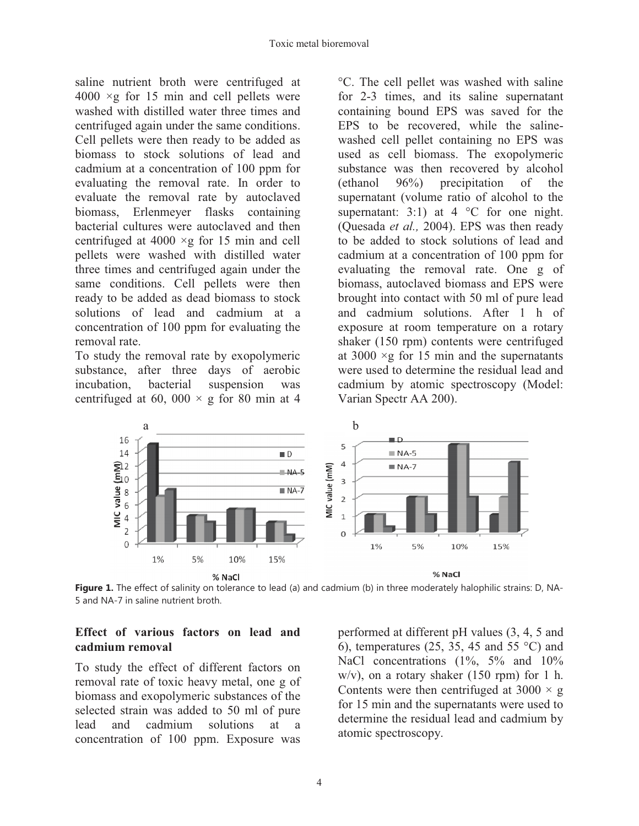saline nutrient broth were centrifuged at  $4000 \times g$  for 15 min and cell pellets were washed with distilled water three times and centrifuged again under the same conditions. Cell pellets were then ready to be added as biomass to stock solutions of lead and cadmium at a concentration of 100 ppm for evaluating the removal rate. In order to evaluate the removal rate by autoclaved biomass, Erlenmeyer flasks containing bacterial cultures were autoclaved and then centrifuged at 4000  $\times$ g for 15 min and cell pellets were washed with distilled water three times and centrifuged again under the same conditions. Cell pellets were then ready to be added as dead biomass to stock solutions of lead and cadmium at a concentration of 100 ppm for evaluating the removal rate.

To study the removal rate by exopolymeric substance, after three days of aerobic incubation, bacterial suspension was centrifuged at 60, 000  $\times$  g for 80 min at 4

°C. The cell pellet was washed with saline for 2-3 times, and its saline supernatant containing bound EPS was saved for the EPS to be recovered, while the salinewashed cell pellet containing no EPS was used as cell biomass. The exopolymeric substance was then recovered by alcohol (ethanol 96%) precipitation of the supernatant (volume ratio of alcohol to the supernatant: 3:1) at  $4^{\circ}$ C for one night. (Quesada *et al.,* 2004). EPS was then ready to be added to stock solutions of lead and cadmium at a concentration of 100 ppm for evaluating the removal rate. One g of biomass, autoclaved biomass and EPS were brought into contact with 50 ml of pure lead and cadmium solutions. After 1 h of exposure at room temperature on a rotary shaker (150 rpm) contents were centrifuged at  $3000 \times g$  for 15 min and the supernatants were used to determine the residual lead and cadmium by atomic spectroscopy (Model: Varian Spectr AA 200).



**Figure 1.** The effect of salinity on tolerance to lead (a) and cadmium (b) in three moderately halophilic strains: D, NA-5 and NA-7 in saline nutrient broth.

#### **Effect of various factors on lead and cadmium removal**

To study the effect of different factors on removal rate of toxic heavy metal, one g of biomass and exopolymeric substances of the selected strain was added to 50 ml of pure lead and cadmium solutions at a concentration of 100 ppm. Exposure was

performed at different pH values (3, 4, 5 and 6), temperatures (25, 35, 45 and 55  $^{\circ}$ C) and NaCl concentrations (1%, 5% and 10%)  $w/v$ , on a rotary shaker (150 rpm) for 1 h. Contents were then centrifuged at  $3000 \times g$ for 15 min and the supernatants were used to determine the residual lead and cadmium by atomic spectroscopy.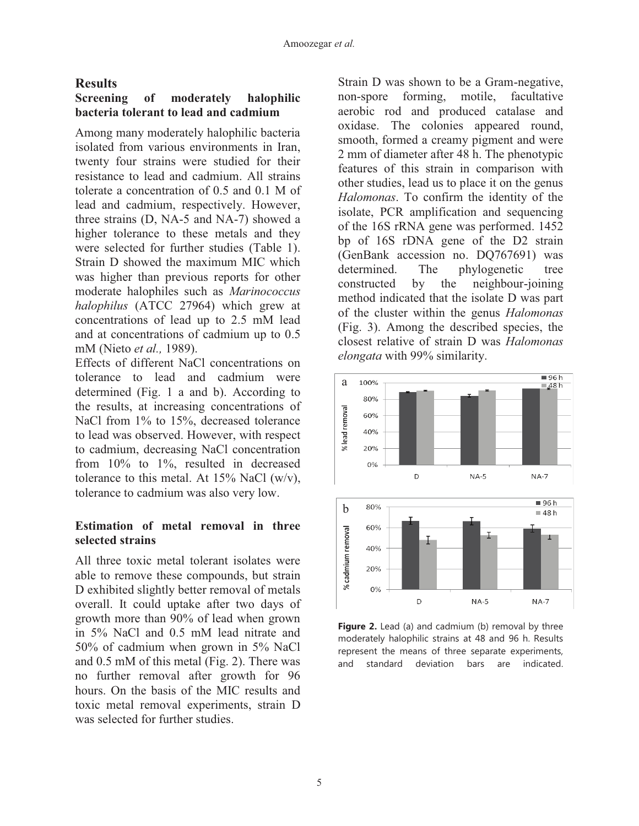#### **Results**

#### **Screening of moderately halophilic bacteria tolerant to lead and cadmium**

Among many moderately halophilic bacteria isolated from various environments in Iran, twenty four strains were studied for their resistance to lead and cadmium. All strains tolerate a concentration of 0.5 and 0.1 M of lead and cadmium, respectively. However, three strains (D, NA-5 and NA-7) showed a higher tolerance to these metals and they were selected for further studies (Table 1). Strain D showed the maximum MIC which was higher than previous reports for other moderate halophiles such as *Marinococcus halophilus* (ATCC 27964) which grew at concentrations of lead up to 2.5 mM lead and at concentrations of cadmium up to 0.5 mM (Nieto *et al.,* 1989).

Effects of different NaCl concentrations on tolerance to lead and cadmium were determined (Fig. 1 a and b). According to the results, at increasing concentrations of NaCl from 1% to 15%, decreased tolerance to lead was observed. However, with respect to cadmium, decreasing NaCl concentration from 10% to 1%, resulted in decreased tolerance to this metal. At  $15\%$  NaCl (w/v), tolerance to cadmium was also very low.

#### **Estimation of metal removal in three selected strains**

All three toxic metal tolerant isolates were able to remove these compounds, but strain D exhibited slightly better removal of metals overall. It could uptake after two days of growth more than 90% of lead when grown in 5% NaCl and 0.5 mM lead nitrate and 50% of cadmium when grown in 5% NaCl and 0.5 mM of this metal (Fig. 2). There was no further removal after growth for 96 hours. On the basis of the MIC results and toxic metal removal experiments, strain D was selected for further studies.

Strain D was shown to be a Gram-negative, non-spore forming, motile, facultative aerobic rod and produced catalase and oxidase. The colonies appeared round, smooth, formed a creamy pigment and were 2 mm of diameter after 48 h. The phenotypic features of this strain in comparison with other studies, lead us to place it on the genus *Halomonas*. To confirm the identity of the isolate, PCR amplification and sequencing of the 16S rRNA gene was performed. 1452 bp of 16S rDNA gene of the D2 strain (GenBank accession no. DQ767691) was determined. The phylogenetic tree constructed by the neighbour-joining method indicated that the isolate D was part of the cluster within the genus *Halomonas*  (Fig. 3). Among the described species, the closest relative of strain D was *Halomonas elongata* with 99% similarity.



**Figure 2.** Lead (a) and cadmium (b) removal by three moderately halophilic strains at 48 and 96 h. Results represent the means of three separate experiments, and standard deviation bars are indicated.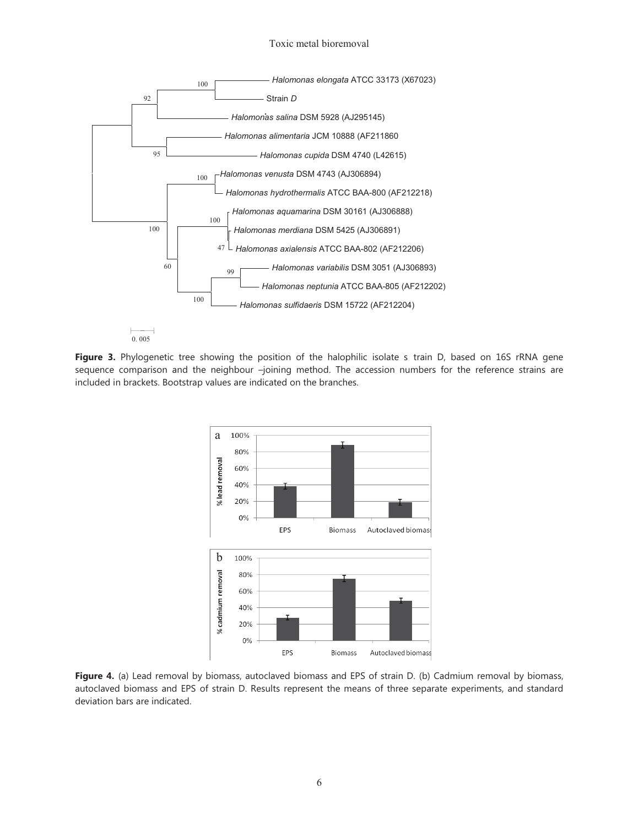#### Toxic metal bioremoval



0. 005

**Figure 3.** Phylogenetic tree showing the position of the halophilic isolate s train D, based on 16S rRNA gene sequence comparison and the neighbour –joining method. The accession numbers for the reference strains are included in brackets. Bootstrap values are indicated on the branches.



**Figure 4.** (a) Lead removal by biomass, autoclaved biomass and EPS of strain D. (b) Cadmium removal by biomass, autoclaved biomass and EPS of strain D. Results represent the means of three separate experiments, and standard deviation bars are indicated.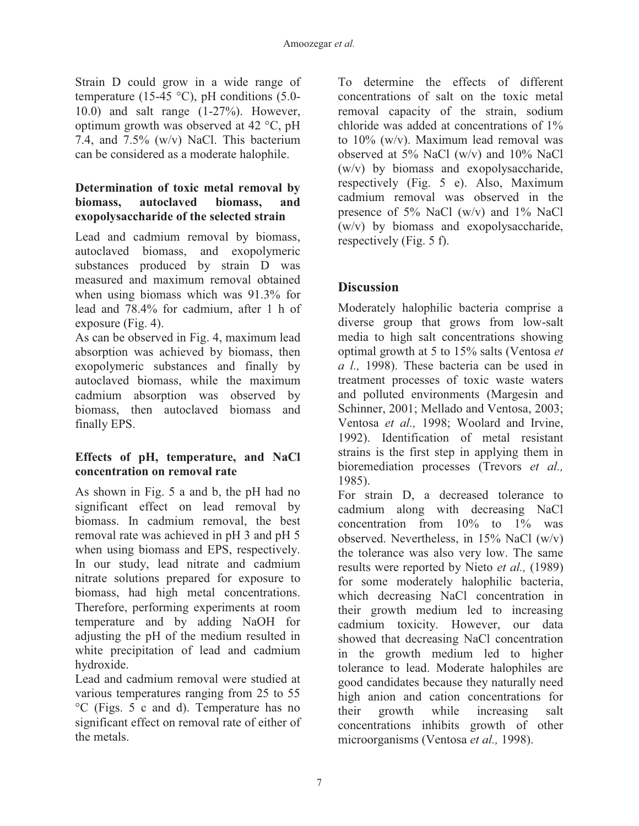Strain D could grow in a wide range of temperature (15-45  $^{\circ}$ C), pH conditions (5.0-10.0) and salt range (1-27%). However, optimum growth was observed at 42 °C, pH 7.4, and 7.5% (w/v) NaCl. This bacterium can be considered as a moderate halophile.

#### **Determination of toxic metal removal by biomass, autoclaved biomass, and exopolysaccharide of the selected strain**

Lead and cadmium removal by biomass, autoclaved biomass, and exopolymeric substances produced by strain D was measured and maximum removal obtained when using biomass which was 91.3% for lead and 78.4% for cadmium, after 1 h of exposure (Fig. 4).

As can be observed in Fig. 4, maximum lead absorption was achieved by biomass, then exopolymeric substances and finally by autoclaved biomass, while the maximum cadmium absorption was observed by biomass, then autoclaved biomass and finally EPS.

#### **Effects of pH, temperature, and NaCl concentration on removal rate**

As shown in Fig. 5 a and b, the pH had no significant effect on lead removal by biomass. In cadmium removal, the best removal rate was achieved in pH 3 and pH 5 when using biomass and EPS, respectively. In our study, lead nitrate and cadmium nitrate solutions prepared for exposure to biomass, had high metal concentrations. Therefore, performing experiments at room temperature and by adding NaOH for adjusting the pH of the medium resulted in white precipitation of lead and cadmium hydroxide.

Lead and cadmium removal were studied at various temperatures ranging from 25 to 55 °C (Figs. 5 c and d). Temperature has no significant effect on removal rate of either of the metals.

To determine the effects of different concentrations of salt on the toxic metal removal capacity of the strain, sodium chloride was added at concentrations of 1% to 10% (w/v). Maximum lead removal was observed at 5% NaCl (w/v) and 10% NaCl (w/v) by biomass and exopolysaccharide, respectively (Fig. 5 e). Also, Maximum cadmium removal was observed in the presence of 5% NaCl (w/v) and 1% NaCl (w/v) by biomass and exopolysaccharide, respectively (Fig. 5 f).

## **Discussion**

Moderately halophilic bacteria comprise a diverse group that grows from low-salt media to high salt concentrations showing optimal growth at 5 to 15% salts (Ventosa *et a l.,* 1998). These bacteria can be used in treatment processes of toxic waste waters and polluted environments (Margesin and Schinner, 2001; Mellado and Ventosa, 2003; Ventosa *et al.,* 1998; Woolard and Irvine, 1992). Identification of metal resistant strains is the first step in applying them in bioremediation processes (Trevors *et al.,* 1985).

For strain D, a decreased tolerance to cadmium along with decreasing NaCl concentration from  $10\%$  to  $1\%$  was observed. Nevertheless, in  $15\%$  NaCl (w/v) the tolerance was also very low. The same results were reported by Nieto *et al.,* (1989) for some moderately halophilic bacteria, which decreasing NaCl concentration in their growth medium led to increasing cadmium toxicity. However, our data showed that decreasing NaCl concentration in the growth medium led to higher tolerance to lead. Moderate halophiles are good candidates because they naturally need high anion and cation concentrations for their growth while increasing salt concentrations inhibits growth of other microorganisms (Ventosa *et al.,* 1998).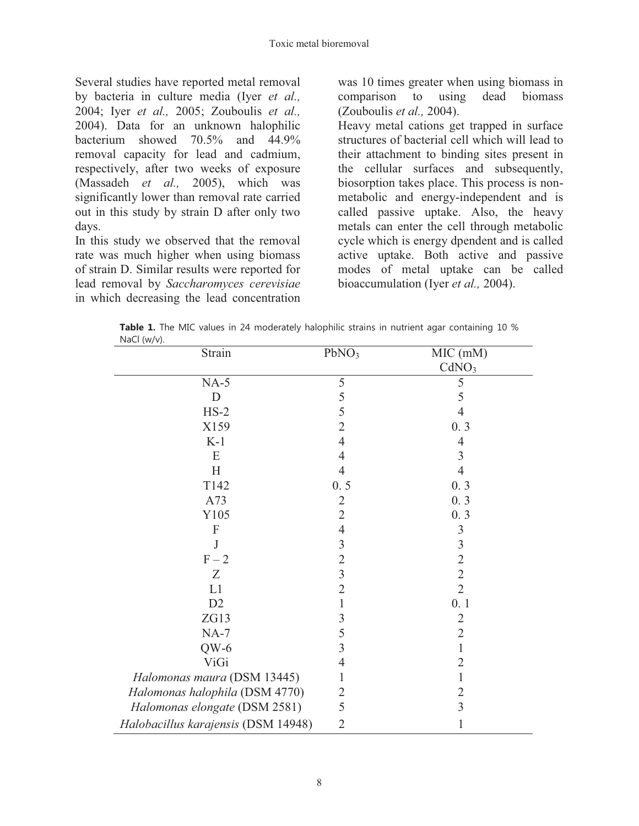Several studies have reported metal removal by bacteria in culture media (Iyer *et al.,* 2004; Iyer *et al.,* 2005; Zouboulis *et al.,* 2004). Data for an unknown halophilic bacterium showed 70.5% and 44.9% removal capacity for lead and cadmium, respectively, after two weeks of exposure (Massadeh *et al.,* 2005), which was significantly lower than removal rate carried out in this study by strain D after only two days.

In this study we observed that the removal rate was much higher when using biomass of strain D. Similar results were reported for lead removal by *Saccharomyces cerevisiae*  in which decreasing the lead concentration was 10 times greater when using biomass in comparison to using dead biomass (Zouboulis *et al.,* 2004).

Heavy metal cations get trapped in surface structures of bacterial cell which will lead to their attachment to binding sites present in the cellular surfaces and subsequently, biosorption takes place. This process is nonmetabolic and energy-independent and is called passive uptake. Also, the heavy metals can enter the cell through metabolic cycle which is energy dpendent and is called active uptake. Both active and passive modes of metal uptake can be called bioaccumulation (Iyer *et al.,* 2004).

| Table 1. The MIC values in 24 moderately halophilic strains in nutrient agar containing 10 % |  |  |  |  |
|----------------------------------------------------------------------------------------------|--|--|--|--|
| NaCl $(w/v)$ .                                                                               |  |  |  |  |

| Strain                              | PbNO <sub>3</sub> | MIC (mM)          |  |  |
|-------------------------------------|-------------------|-------------------|--|--|
|                                     |                   | CdNO <sub>3</sub> |  |  |
| $NA-5$                              | 5                 | 5                 |  |  |
| $\mathbf D$                         | 5                 | 5                 |  |  |
| $HS-2$                              | 5                 | $\overline{4}$    |  |  |
| X159                                | $\overline{2}$    | 0.3               |  |  |
| $K-1$                               | $\overline{4}$    | 4                 |  |  |
| E                                   | $\overline{4}$    | 3                 |  |  |
| H                                   | $\overline{4}$    | $\overline{4}$    |  |  |
| T142                                | 0.5               | 0.3               |  |  |
| A73                                 | $\overline{2}$    | 0.3               |  |  |
| Y105                                | $\overline{2}$    | 0.3               |  |  |
| $\boldsymbol{\mathrm{F}}$           | $\overline{4}$    | 3                 |  |  |
| J                                   | $\overline{3}$    | $\mathfrak{Z}$    |  |  |
| $F-2$                               | $\overline{2}$    | $\overline{2}$    |  |  |
| Z                                   | $\overline{3}$    | $\overline{2}$    |  |  |
| L1                                  | $\overline{2}$    | $\overline{2}$    |  |  |
| D <sub>2</sub>                      | $\mathbf{1}$      | 0.1               |  |  |
| ZG13                                | $\mathfrak{Z}$    | $\overline{2}$    |  |  |
| $NA-7$                              | 5                 | $\overline{2}$    |  |  |
| $QW-6$                              | 3                 | 1                 |  |  |
| <b>ViGi</b>                         | $\overline{4}$    | $\overline{2}$    |  |  |
| Halomonas maura (DSM 13445)         | 1                 | 1                 |  |  |
| Halomonas halophila (DSM 4770)      | $\overline{2}$    | $\overline{2}$    |  |  |
| Halomonas elongate (DSM 2581)       | 5                 | 3                 |  |  |
| Halobacillus karajensis (DSM 14948) | $\overline{2}$    | 1                 |  |  |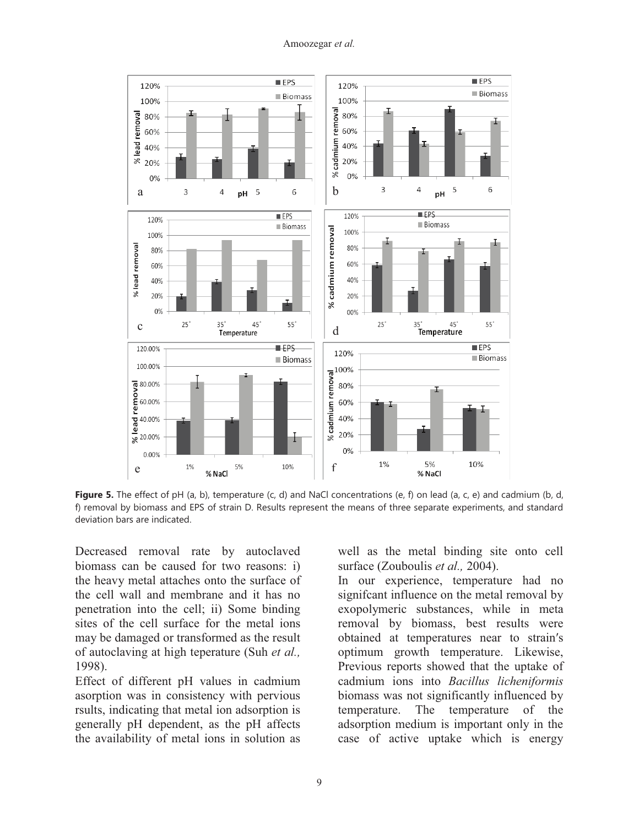

**Figure 5.** The effect of pH (a, b), temperature (c, d) and NaCl concentrations (e, f) on lead (a, c, e) and cadmium (b, d, f) removal by biomass and EPS of strain D. Results represent the means of three separate experiments, and standard deviation bars are indicated.

Decreased removal rate by autoclaved biomass can be caused for two reasons: i) the heavy metal attaches onto the surface of the cell wall and membrane and it has no penetration into the cell; ii) Some binding sites of the cell surface for the metal ions may be damaged or transformed as the result of autoclaving at high teperature (Suh *et al.,* 1998).

Effect of different pH values in cadmium asorption was in consistency with pervious rsults, indicating that metal ion adsorption is generally pH dependent, as the pH affects the availability of metal ions in solution as

well as the metal binding site onto cell surface (Zouboulis *et al.,* 2004).

In our experience, temperature had no signifcant influence on the metal removal by exopolymeric substances, while in meta removal by biomass, best results were obtained at temperatures near to strain's optimum growth temperature. Likewise, Previous reports showed that the uptake of cadmium ions into *Bacillus licheniformis*  biomass was not significantly influenced by temperature. The temperature of the adsorption medium is important only in the case of active uptake which is energy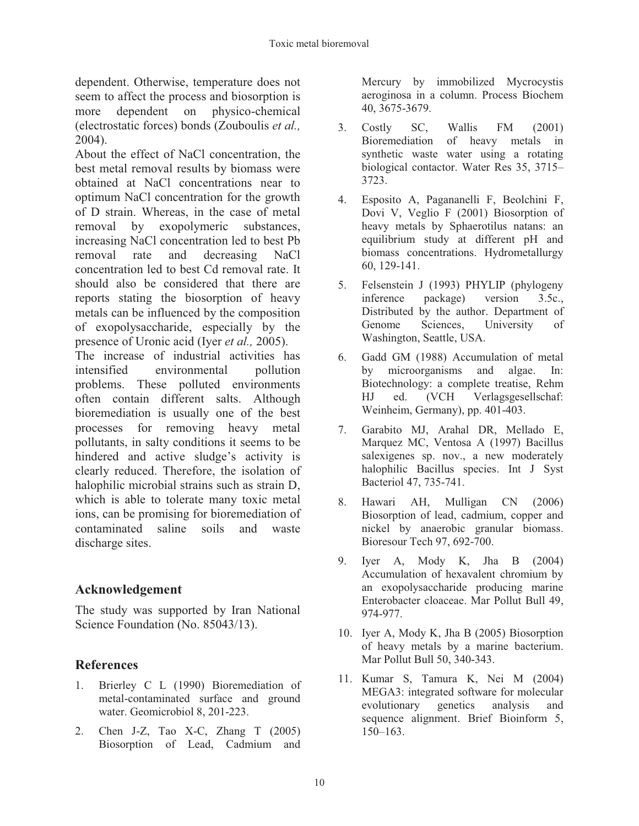dependent. Otherwise, temperature does not seem to affect the process and biosorption is more dependent on physico-chemical (electrostatic forces) bonds (Zouboulis *et al.,* 2004).

About the effect of NaCl concentration, the best metal removal results by biomass were obtained at NaCl concentrations near to optimum NaCl concentration for the growth of D strain. Whereas, in the case of metal removal by exopolymeric substances, increasing NaCl concentration led to best Pb removal rate and decreasing NaCl concentration led to best Cd removal rate. It should also be considered that there are reports stating the biosorption of heavy metals can be influenced by the composition of exopolysaccharide, especially by the presence of Uronic acid (Iyer *et al.,* 2005).

The increase of industrial activities has intensified environmental pollution problems. These polluted environments often contain different salts. Although bioremediation is usually one of the best processes for removing heavy metal pollutants, in salty conditions it seems to be hindered and active sludge's activity is clearly reduced. Therefore, the isolation of halophilic microbial strains such as strain D, which is able to tolerate many toxic metal ions, can be promising for bioremediation of contaminated saline soils and waste discharge sites.

## **Acknowledgement**

The study was supported by Iran National Science Foundation (No. 85043/13).

### **References**

- 1. Brierley C L (1990) Bioremediation of metal-contaminated surface and ground water. Geomicrobiol 8, 201-223.
- 2. Chen J-Z, Tao X-C, Zhang T (2005) Biosorption of Lead, Cadmium and

Mercury by immobilized Mycrocystis aeroginosa in a column. Process Biochem 40, 3675-3679.

- 3. Costly SC, Wallis FM (2001) Bioremediation of heavy metals in synthetic waste water using a rotating biological contactor. Water Res 35, 3715– 3723.
- 4. Esposito A, Pagananelli F, Beolchini F, Dovi V, Veglio F (2001) Biosorption of heavy metals by Sphaerotilus natans: an equilibrium study at different pH and biomass concentrations. Hydrometallurgy 60, 129-141.
- 5. Felsenstein J (1993) PHYLIP (phylogeny inference package) version 3.5c., Distributed by the author. Department of Genome Sciences, University of Washington, Seattle, USA.
- 6. Gadd GM (1988) Accumulation of metal by microorganisms and algae. In: Biotechnology: a complete treatise, Rehm HJ ed. (VCH Verlagsgesellschaf: Weinheim, Germany), pp. 401-403.
- 7. Garabito MJ, Arahal DR, Mellado E, Marquez MC, Ventosa A (1997) Bacillus salexigenes sp. nov., a new moderately halophilic Bacillus species. Int J Syst Bacteriol 47, 735-741.
- 8. Hawari AH, Mulligan CN (2006) Biosorption of lead, cadmium, copper and nickel by anaerobic granular biomass. Bioresour Tech 97, 692-700.
- 9. Iyer A, Mody K, Jha B (2004) Accumulation of hexavalent chromium by an exopolysaccharide producing marine Enterobacter cloaceae. Mar Pollut Bull 49, 974-977.
- 10. Iyer A, Mody K, Jha B (2005) Biosorption of heavy metals by a marine bacterium. Mar Pollut Bull 50, 340-343.
- 11. Kumar S, Tamura K, Nei M (2004) MEGA3: integrated software for molecular evolutionary genetics analysis and sequence alignment. Brief Bioinform 5, 150–163.